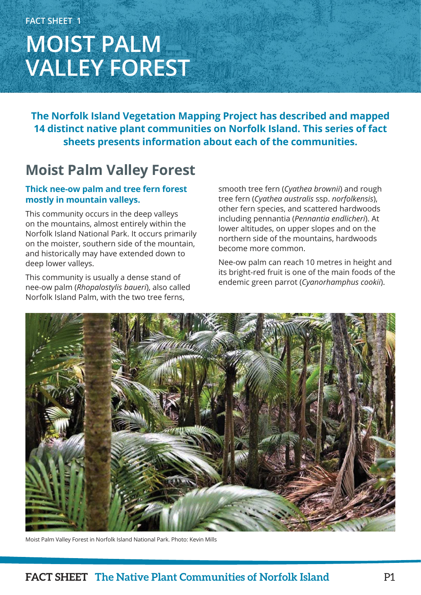# **MOIST PALM VALLEY FOREST**

**The Norfolk Island Vegetation Mapping Project has described and mapped 14 distinct native plant communities on Norfolk Island. This series of fact sheets presents information about each of the communities.**

### **Moist Palm Valley Forest**

### **Thick nee-ow palm and tree fern forest mostly in mountain valleys.**

This community occurs in the deep valleys on the mountains, almost entirely within the Norfolk Island National Park. It occurs primarily on the moister, southern side of the mountain, and historically may have extended down to deep lower valleys.

This community is usually a dense stand of nee-ow palm (*Rhopalostylis baueri*), also called Norfolk Island Palm, with the two tree ferns,

smooth tree fern (*Cyathea brownii*) and rough tree fern (*Cyathea australis* ssp. *norfolkensis*), other fern species, and scattered hardwoods including pennantia (*Pennantia endlicheri*). At lower altitudes, on upper slopes and on the northern side of the mountains, hardwoods become more common.

Nee-ow palm can reach 10 metres in height and its bright-red fruit is one of the main foods of the endemic green parrot (*Cyanorhamphus cookii*).



Moist Palm Valley Forest in Norfolk Island National Park. Photo: Kevin Mills